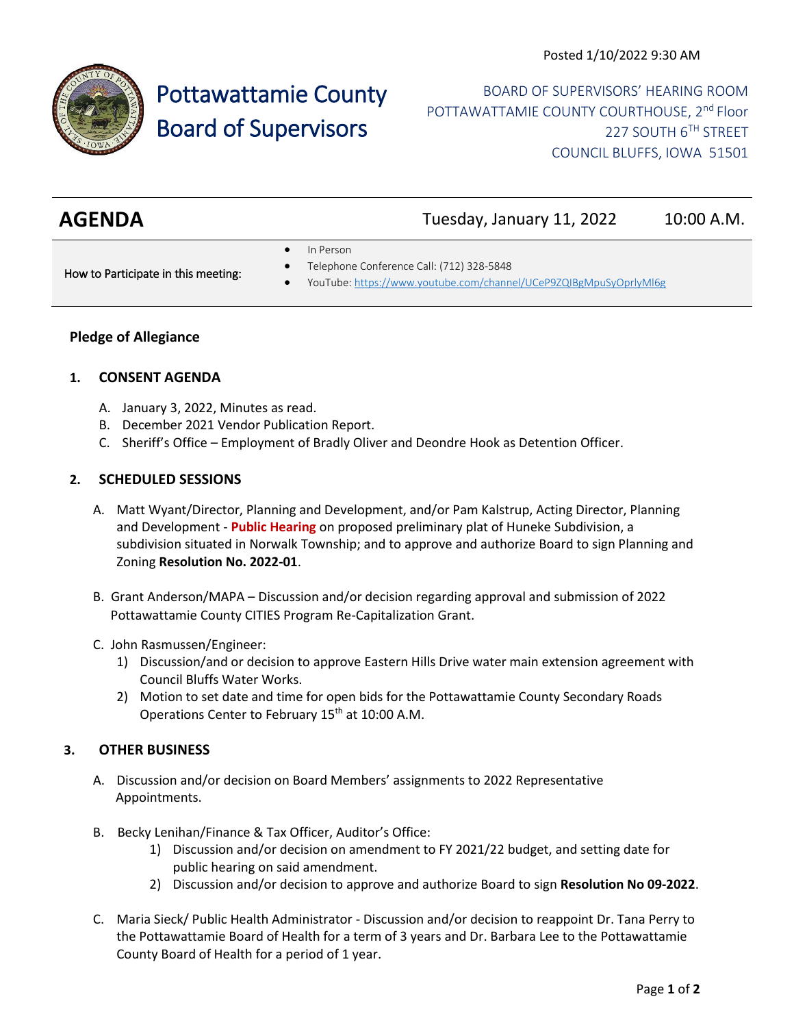

# Pottawattamie County Board of Supervisors

BOARD OF SUPERVISORS' HEARING ROOM POTTAWATTAMIE COUNTY COURTHOUSE, 2<sup>nd</sup> Floor 227 SOUTH 6TH STREET COUNCIL BLUFFS, IOWA 51501

| <b>AGENDA</b> | Tuesday, January 11, 2022 | 10:00 A.M. |
|---------------|---------------------------|------------|
|               |                           |            |

• In Person

How to Participate in this meeting:

- Telephone Conference Call: (712) 328-5848
- YouTube[: https://www.youtube.com/channel/UCeP9ZQIBgMpuSyOprlyMl6g](https://www.youtube.com/channel/UCeP9ZQIBgMpuSyOprlyMl6g)

## **Pledge of Allegiance**

## **1. CONSENT AGENDA**

- A. January 3, 2022, Minutes as read.
- B. December 2021 Vendor Publication Report.
- C. Sheriff's Office Employment of Bradly Oliver and Deondre Hook as Detention Officer.

## **2. SCHEDULED SESSIONS**

- A. Matt Wyant/Director, Planning and Development, and/or Pam Kalstrup, Acting Director, Planning and Development - **Public Hearing** on proposed preliminary plat of Huneke Subdivision, a subdivision situated in Norwalk Township; and to approve and authorize Board to sign Planning and Zoning **Resolution No. 2022-01**.
- B. Grant Anderson/MAPA Discussion and/or decision regarding approval and submission of 2022 Pottawattamie County CITIES Program Re-Capitalization Grant.
- C. John Rasmussen/Engineer:
	- 1) Discussion/and or decision to approve Eastern Hills Drive water main extension agreement with Council Bluffs Water Works.
	- 2) Motion to set date and time for open bids for the Pottawattamie County Secondary Roads Operations Center to February 15<sup>th</sup> at 10:00 A.M.

## **3. OTHER BUSINESS**

- A. Discussion and/or decision on Board Members' assignments to 2022 Representative Appointments.
- B. Becky Lenihan/Finance & Tax Officer, Auditor's Office:
	- 1) Discussion and/or decision on amendment to FY 2021/22 budget, and setting date for public hearing on said amendment.
	- 2) Discussion and/or decision to approve and authorize Board to sign **Resolution No 09-2022**.
- C. Maria Sieck/ Public Health Administrator Discussion and/or decision to reappoint Dr. Tana Perry to the Pottawattamie Board of Health for a term of 3 years and Dr. Barbara Lee to the Pottawattamie County Board of Health for a period of 1 year.